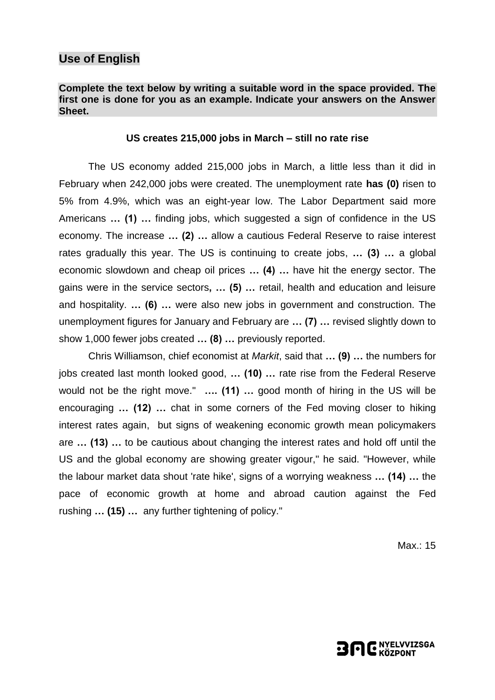## **Use of English**

#### **Complete the text below by writing a suitable word in the space provided. The first one is done for you as an example. Indicate your answers on the Answer Sheet.**

#### **US creates 215,000 jobs in March – still no rate rise**

The US economy added 215,000 jobs in March, a little less than it did in February when 242,000 jobs were created. The unemployment rate **has (0)** risen to 5% from 4.9%, which was an eight-year low. The Labor Department said more Americans **… (1) …** finding jobs, which suggested a sign of confidence in the US economy. The increase **… (2) …** allow a cautious Federal Reserve to raise interest rates gradually this year. The US is continuing to create jobs, **… (3) …** a global economic slowdown and cheap oil prices **… (4) …** have hit the energy sector. The gains were in the service sectors**, … (5) …** retail, health and education and leisure and hospitality. **… (6) …** were also new jobs in government and construction. The unemployment figures for January and February are **… (7) …** revised slightly down to show 1,000 fewer jobs created **… (8) …** previously reported.

Chris Williamson, chief economist at *Markit*, said that **… (9) …** the numbers for jobs created last month looked good, **… (10) …** rate rise from the Federal Reserve would not be the right move." **…. (11) …** good month of hiring in the US will be encouraging **… (12) …** chat in some corners of the Fed moving closer to hiking interest rates again, but signs of weakening economic growth mean policymakers are **… (13) …** to be cautious about changing the interest rates and hold off until the US and the global economy are showing greater vigour," he said. "However, while the labour market data shout 'rate hike', signs of a worrying weakness **… (14) …** the pace of economic growth at home and abroad caution against the Fed rushing **… (15) …** any further tightening of policy."

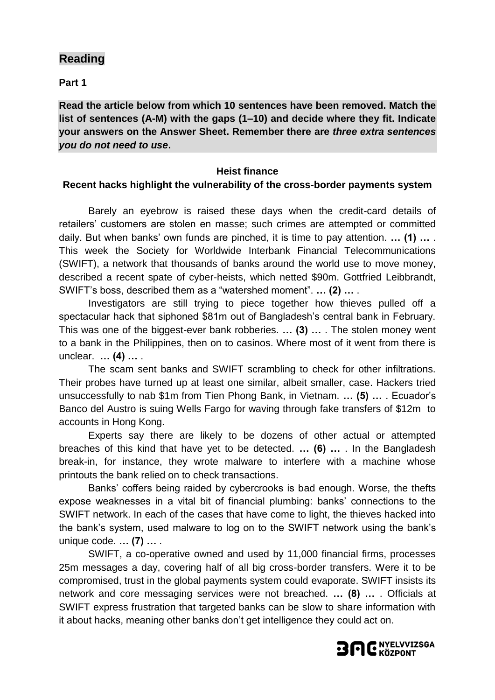## **Reading**

**Part 1**

**Read the article below from which 10 sentences have been removed. Match the list of sentences (A-M) with the gaps (1–10) and decide where they fit. Indicate your answers on the Answer Sheet. Remember there are** *three extra sentences you do not need to use***.**

#### **Heist finance**

#### **Recent hacks highlight the vulnerability of the cross-border payments system**

Barely an eyebrow is raised these days when the credit-card details of retailers' customers are stolen en masse; such crimes are attempted or committed daily. But when banks' own funds are pinched, it is time to pay attention. **… (1) …** . This week the Society for Worldwide Interbank Financial Telecommunications (SWIFT), a network that thousands of banks around the world use to move money, described a recent spate of cyber-heists, which netted \$90m. Gottfried Leibbrandt, SWIFT's boss, described them as a "watershed moment". **… (2) …** .

Investigators are still trying to piece together how thieves pulled off a spectacular hack that siphoned \$81m out of Bangladesh's central bank in February. This was one of the biggest-ever bank robberies. **… (3) …** . The stolen money went to a bank in the Philippines, then on to casinos. Where most of it went from there is unclear. **… (4) …** .

The scam sent banks and SWIFT scrambling to check for other infiltrations. Their probes have turned up at least one similar, albeit smaller, case. Hackers tried unsuccessfully to nab \$1m from Tien Phong Bank, in Vietnam. **… (5) …** . Ecuador's Banco del Austro is suing Wells Fargo for waving through fake transfers of \$12m to accounts in Hong Kong.

Experts say there are likely to be dozens of other actual or attempted breaches of this kind that have yet to be detected. **… (6) …** . In the Bangladesh break-in, for instance, they wrote malware to interfere with a machine whose printouts the bank relied on to check transactions.

Banks' coffers being raided by cybercrooks is bad enough. Worse, the thefts expose weaknesses in a vital bit of financial plumbing: banks' connections to the SWIFT network. In each of the cases that have come to light, the thieves hacked into the bank's system, used malware to log on to the SWIFT network using the bank's unique code. **… (7) …** .

SWIFT, a co-operative owned and used by 11,000 financial firms, processes 25m messages a day, covering half of all big cross-border transfers. Were it to be compromised, trust in the global payments system could evaporate. SWIFT insists its network and core messaging services were not breached. **… (8) …** . Officials at SWIFT express frustration that targeted banks can be slow to share information with it about hacks, meaning other banks don't get intelligence they could act on.

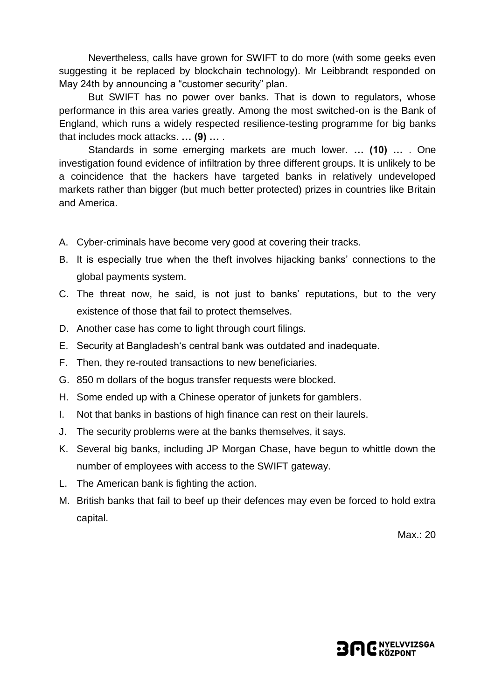Nevertheless, calls have grown for SWIFT to do more (with some geeks even suggesting it be replaced by blockchain technology). Mr Leibbrandt responded on May 24th by announcing a "customer security" plan.

But SWIFT has no power over banks. That is down to regulators, whose performance in this area varies greatly. Among the most switched-on is the Bank of England, which runs a widely respected resilience-testing programme for big banks that includes mock attacks. **… (9) …** .

Standards in some emerging markets are much lower. **… (10) …** . One investigation found evidence of infiltration by three different groups. It is unlikely to be a coincidence that the hackers have targeted banks in relatively undeveloped markets rather than bigger (but much better protected) prizes in countries like Britain and America.

- A. Cyber-criminals have become very good at covering their tracks.
- B. It is especially true when the theft involves hijacking banks' connections to the global payments system.
- C. The threat now, he said, is not just to banks' reputations, but to the very existence of those that fail to protect themselves.
- D. Another case has come to light through court filings.
- E. Security at Bangladesh's central bank was outdated and inadequate.
- F. Then, they re-routed transactions to new beneficiaries.
- G. 850 m dollars of the bogus transfer requests were blocked.
- H. Some ended up with a Chinese operator of junkets for gamblers.
- I. Not that banks in bastions of high finance can rest on their laurels.
- J. The security problems were at the banks themselves, it says.
- K. Several big banks, including JP Morgan Chase, have begun to whittle down the number of employees with access to the SWIFT gateway.
- L. The American bank is fighting the action.
- M. British banks that fail to beef up their defences may even be forced to hold extra capital.

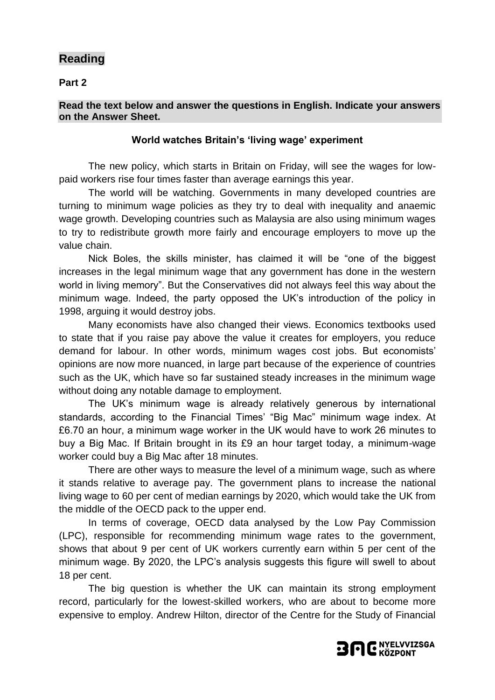# **Reading**

**Part 2**

#### **Read the text below and answer the questions in English. Indicate your answers on the Answer Sheet.**

#### **World watches Britain's 'living wage' experiment**

The new policy, which starts in Britain on Friday, will see the wages for lowpaid workers rise four times faster than average earnings this year.

The world will be watching. Governments in many developed countries are turning to minimum wage policies as they try to deal with inequality and anaemic wage growth. Developing countries such as Malaysia are also using minimum wages to try to redistribute growth more fairly and encourage employers to move up the value chain.

Nick Boles, the skills minister, has claimed it will be "one of the biggest increases in the legal minimum wage that any government has done in the western world in living memory". But the Conservatives did not always feel this way about the minimum wage. Indeed, the party opposed the UK's introduction of the policy in 1998, arguing it would destroy jobs.

Many economists have also changed their views. Economics textbooks used to state that if you raise pay above the value it creates for employers, you reduce demand for labour. In other words, [minimum wages cost jobs.](http://www.ft.com/cms/s/0/e98052f0-de05-11e5-b67f-a61732c1d025.html#axzz44BTFh0r0) But economists' opinions are now more nuanced, in large part because of the experience of countries such as the UK, which have so far sustained steady increases in the minimum wage without doing any notable damage to employment.

The UK's minimum wage is already relatively generous by international standards, according to the Financial Times' "Big Mac" minimum wage index. At £6.70 an hour, a minimum wage worker in the UK would have to work 26 minutes to buy a Big Mac. If Britain brought in its £9 an hour target today, a minimum-wage worker could buy a Big Mac after 18 minutes.

There are other ways to measure the level of a minimum wage, such as where it stands relative to average pay. The government plans to increase the national living wage to 60 per cent of median earnings by 2020, which would take the UK from the middle of the OECD pack to the upper end.

In terms of coverage, OECD data analysed by the Low Pay Commission (LPC), responsible for recommending minimum wage rates to the government, shows that about 9 per cent of UK workers currently earn within 5 per cent of the minimum wage. By 2020, the LPC's analysis suggests this figure will swell to about 18 per cent.

The big question is whether the UK can maintain its strong employment record, particularly for the lowest-skilled workers, who are about to become more expensive to employ. Andrew Hilton, director of the Centre for the Study of Financial

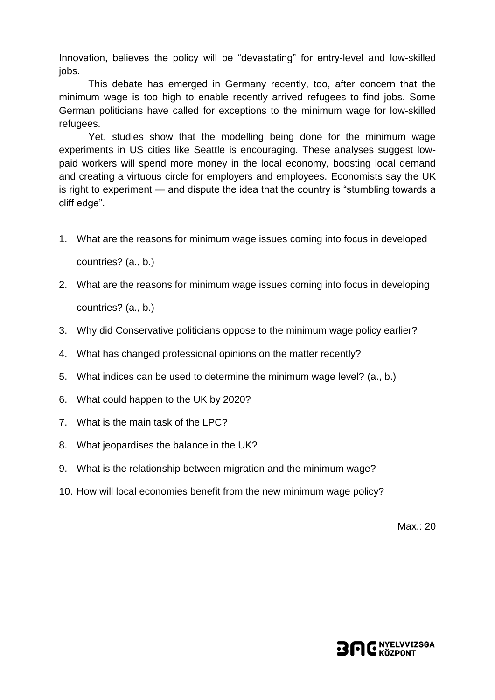Innovation, believes the policy will be "devastating" for entry-level and low-skilled jobs.

This debate has emerged in Germany recently, too, after concern that the minimum wage is too high to enable recently arrived refugees to find jobs. Some German politicians have called for exceptions to the minimum wage for low-skilled refugees.

Yet, studies show that the modelling being done for the minimum wage experiments in US cities like Seattle is encouraging. These analyses suggest lowpaid workers will spend more money in the local economy, boosting local demand and creating a virtuous circle for employers and employees. Economists say the UK is right to experiment — and dispute the idea that the country is "stumbling towards a cliff edge".

- 1. What are the reasons for minimum wage issues coming into focus in developed countries? (a., b.)
- 2. What are the reasons for minimum wage issues coming into focus in developing countries? (a., b.)
- 3. Why did Conservative politicians oppose to the minimum wage policy earlier?
- 4. What has changed professional opinions on the matter recently?
- 5. What indices can be used to determine the minimum wage level? (a., b.)
- 6. What could happen to the UK by 2020?
- 7. What is the main task of the LPC?
- 8. What jeopardises the balance in the UK?
- 9. What is the relationship between migration and the minimum wage?
- 10. How will local economies benefit from the new minimum wage policy?

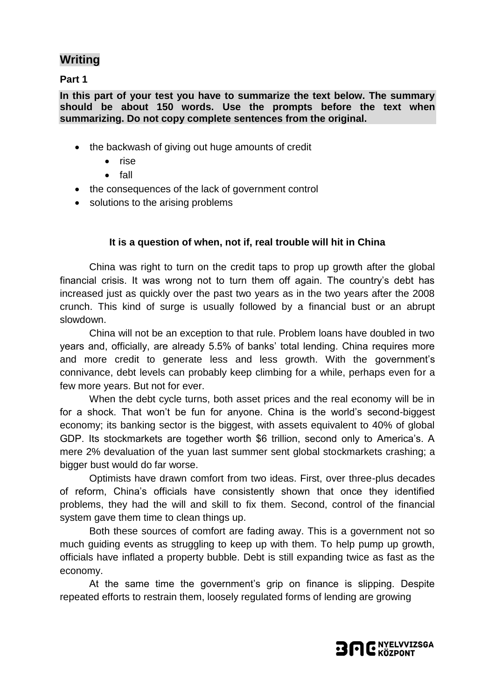# **Writing**

**Part 1**

**In this part of your test you have to summarize the text below. The summary should be about 150 words. Use the prompts before the text when summarizing. Do not copy complete sentences from the original.**

- the backwash of giving out huge amounts of credit
	- rise
	- $\bullet$  fall
- the consequences of the lack of government control
- solutions to the arising problems

### **It is a question of when, not if, real trouble will hit in China**

China was right to turn on the credit taps to prop up growth after the global financial crisis. It was wrong not to turn them off again. The country's debt has increased just as quickly over the past two years as in the two years after the 2008 crunch. This kind of surge is usually followed by a financial bust or an abrupt slowdown.

China will not be an exception to that rule. Problem loans have doubled in two years and, officially, are already 5.5% of banks' total lending. China requires more and more credit to generate less and less growth. With the government's connivance, debt levels can probably keep climbing for a while, perhaps even for a few more years. But not for ever.

When the debt cycle turns, both asset prices and the real economy will be in for a shock. That won't be fun for anyone. China is the world's second-biggest economy; its banking sector is the biggest, with assets equivalent to 40% of global GDP. Its stockmarkets are together worth \$6 trillion, second only to America's. A mere 2% devaluation of the yuan last summer sent global stockmarkets crashing; a bigger bust would do far worse.

Optimists have drawn comfort from two ideas. First, over three-plus decades of reform, China's officials have consistently shown that once they identified problems, they had the will and skill to fix them. Second, control of the financial system gave them time to clean things up.

Both these sources of comfort are fading away. This is a government not so much guiding events as struggling to keep up with them. To help pump up growth, officials have inflated a property bubble. Debt is still expanding twice as fast as the economy.

At the same time the government's grip on finance is slipping. Despite repeated efforts to restrain them, loosely regulated forms of lending are growing

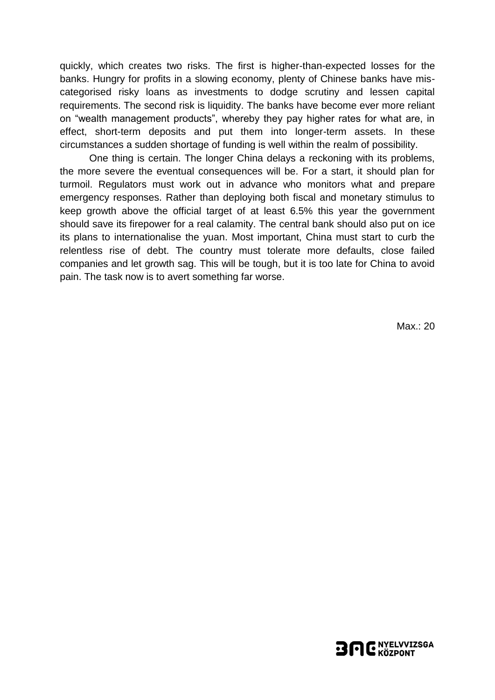quickly, which creates two risks. The first is higher-than-expected losses for the banks. Hungry for profits in a slowing economy, plenty of Chinese banks have miscategorised risky loans as investments to dodge scrutiny and lessen capital requirements. The second risk is liquidity. The banks have become ever more reliant on "wealth management products", whereby they pay higher rates for what are, in effect, short-term deposits and put them into longer-term assets. In these circumstances a sudden shortage of funding is well within the realm of possibility.

One thing is certain. The longer China delays a reckoning with its problems, the more severe the eventual consequences will be. For a start, it should plan for turmoil. Regulators must work out in advance who monitors what and prepare emergency responses. Rather than deploying both fiscal and monetary stimulus to keep growth above the official target of at least 6.5% this year the government should save its firepower for a real calamity. The central bank should also put on ice its plans to internationalise the yuan. Most important, China must start to curb the relentless rise of debt. The country must tolerate more defaults, close failed companies and let growth sag. This will be tough, but it is too late for China to avoid pain. The task now is to avert something far worse.